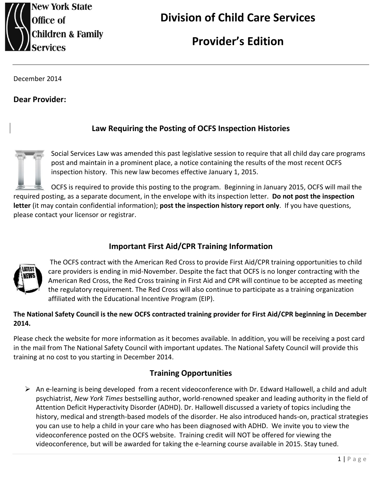

# **Provider's Edition**

December 2014

**Dear Provider:**

## **Law Requiring the Posting of OCFS Inspection Histories**

Social Services Law was amended this past legislative session to require that all child day care programs post and maintain in a prominent place, a notice containing the results of the most recent OCFS inspection history. This new law becomes effective January 1, 2015.

OCFS is required to provide this posting to the program. Beginning in January 2015, OCFS will mail the required posting, as a separate document, in the envelope with its inspection letter. **Do not post the inspection letter** (it may contain confidential information); **post the inspection history report only**. If you have questions, please contact your licensor or registrar.

## **Important First Aid/CPR Training Information**



The OCFS contract with the American Red Cross to provide First Aid/CPR training opportunities to child care providers is ending in mid-November. Despite the fact that OCFS is no longer contracting with the American Red Cross, the Red Cross training in First Aid and CPR will continue to be accepted as meeting the regulatory requirement. The Red Cross will also continue to participate as a training organization affiliated with the Educational Incentive Program (EIP).

#### **The National Safety Council is the new OCFS contracted training provider for First Aid/CPR beginning in December 2014.**

Please check the website for more information as it becomes available. In addition, you will be receiving a post card in the mail from The National Safety Council with important updates. The National Safety Council will provide this training at no cost to you starting in December 2014.

## **Training Opportunities**

 An e-learning is being developed from a recent videoconference with Dr. Edward Hallowell, a child and adult psychiatrist, *New York Times* bestselling author, world-renowned speaker and leading authority in the field of Attention Deficit Hyperactivity Disorder (ADHD). Dr. Hallowell discussed a variety of topics including the history, medical and strength-based models of the disorder. He also introduced hands-on, practical strategies you can use to help a child in your care who has been diagnosed with ADHD. We invite you to view the videoconference posted on the OCFS website. Training credit will NOT be offered for viewing the videoconference, but will be awarded for taking the e-learning course available in 2015. Stay tuned.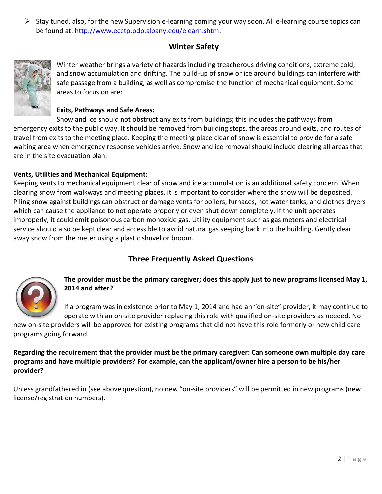$\triangleright$  Stay tuned, also, for the new Supervision e-learning coming your way soon. All e-learning course topics can be found at: [http://www.ecetp.pdp.albany.edu/elearn.shtm.](http://www.ecetp.pdp.albany.edu/elearn.shtm)

# **Winter Safety**



Winter weather brings a variety of hazards including treacherous driving conditions, extreme cold, and snow accumulation and drifting. The build-up of snow or ice around buildings can interfere with safe passage from a building, as well as compromise the function of mechanical equipment. Some areas to focus on are:

#### **Exits, Pathways and Safe Areas:**

Snow and ice should not obstruct any exits from buildings; this includes the pathways from emergency exits to the public way. It should be removed from building steps, the areas around exits, and routes of travel from exits to the meeting place. Keeping the meeting place clear of snow is essential to provide for a safe waiting area when emergency response vehicles arrive. Snow and ice removal should include clearing all areas that are in the site evacuation plan.

#### **Vents, Utilities and Mechanical Equipment:**

Keeping vents to mechanical equipment clear of snow and ice accumulation is an additional safety concern. When clearing snow from walkways and meeting places, it is important to consider where the snow will be deposited. Piling snow against buildings can obstruct or damage vents for boilers, furnaces, hot water tanks, and clothes dryers which can cause the appliance to not operate properly or even shut down completely. If the unit operates improperly, it could emit poisonous carbon monoxide gas. Utility equipment such as gas meters and electrical service should also be kept clear and accessible to avoid natural gas seeping back into the building. Gently clear away snow from the meter using a plastic shovel or broom.

# **Three Frequently Asked Questions**



**The provider must be the primary caregiver; does this apply just to new programs licensed May 1, 2014 and after?** 

If a program was in existence prior to May 1, 2014 and had an "on-site" provider, it may continue to operate with an on-site provider replacing this role with qualified on-site providers as needed. No

new on-site providers will be approved for existing programs that did not have this role formerly or new child care programs going forward.

**Regarding the requirement that the provider must be the primary caregiver: Can someone own multiple day care programs and have multiple providers? For example, can the applicant/owner hire a person to be his/her provider?** 

Unless grandfathered in (see above question), no new "on-site providers" will be permitted in new programs (new license/registration numbers).